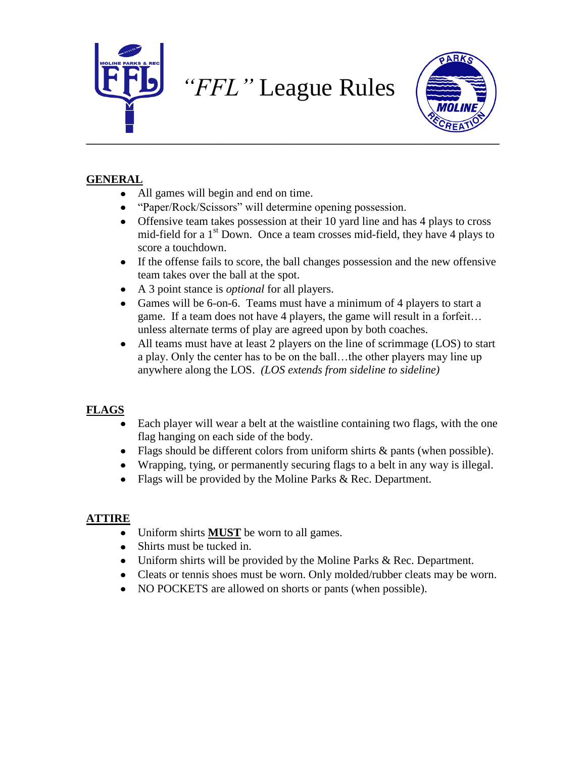



## **GENERAL**

- All games will begin and end on time.
- "Paper/Rock/Scissors" will determine opening possession.
- Offensive team takes possession at their 10 yard line and has 4 plays to cross mid-field for a  $1<sup>st</sup>$  Down. Once a team crosses mid-field, they have 4 plays to score a touchdown.
- If the offense fails to score, the ball changes possession and the new offensive team takes over the ball at the spot.
- A 3 point stance is *optional* for all players.
- Games will be 6-on-6. Teams must have a minimum of 4 players to start a  $\bullet$ game. If a team does not have 4 players, the game will result in a forfeit… unless alternate terms of play are agreed upon by both coaches.
- All teams must have at least 2 players on the line of scrimmage (LOS) to start  $\bullet$ a play. Only the center has to be on the ball…the other players may line up anywhere along the LOS. *(LOS extends from sideline to sideline)*

# **FLAGS**

- Each player will wear a belt at the waistline containing two flags, with the one flag hanging on each side of the body.
- Flags should be different colors from uniform shirts  $\&$  pants (when possible).
- Wrapping, tying, or permanently securing flags to a belt in any way is illegal.
- Flags will be provided by the Moline Parks & Rec. Department.

# **ATTIRE**

- Uniform shirts **MUST** be worn to all games.
- Shirts must be tucked in.
- Uniform shirts will be provided by the Moline Parks & Rec. Department.
- Cleats or tennis shoes must be worn. Only molded/rubber cleats may be worn.
- NO POCKETS are allowed on shorts or pants (when possible).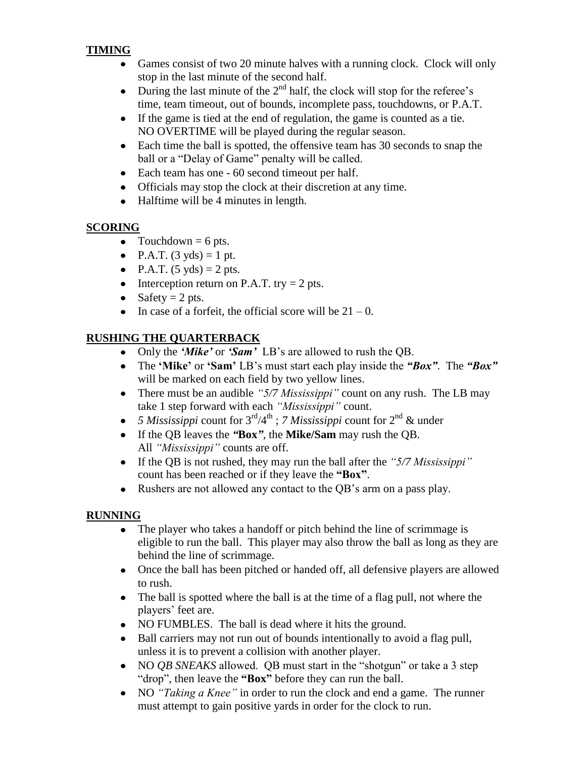## **TIMING**

- Games consist of two 20 minute halves with a running clock. Clock will only stop in the last minute of the second half.
- During the last minute of the  $2<sup>nd</sup>$  half, the clock will stop for the referee's time, team timeout, out of bounds, incomplete pass, touchdowns, or P.A.T.
- If the game is tied at the end of regulation, the game is counted as a tie. NO OVERTIME will be played during the regular season.
- Each time the ball is spotted, the offensive team has 30 seconds to snap the ball or a "Delay of Game" penalty will be called.
- Each team has one 60 second timeout per half.
- Officials may stop the clock at their discretion at any time.
- Halftime will be 4 minutes in length.

## **SCORING**

- Touchdown  $= 6$  pts.
- P.A.T.  $(3 \text{ yds}) = 1 \text{ pt.}$
- P.A.T.  $(5 \text{ yds}) = 2 \text{ pts.}$
- Interception return on P.A.T. try  $= 2$  pts.
- Safety  $= 2$  pts.
- In case of a forfeit, the official score will be  $21 0$ .

# **RUSHING THE QUARTERBACK**

- Only the *"Mike"* or *"Sam"* LB's are allowed to rush the QB.
- The **"Mike"** or **"Sam"** LB's must start each play inside the *"Box"*. The *"Box"*  $\bullet$ will be marked on each field by two yellow lines.
- There must be an audible *"5/7 Mississippi"* count on any rush. The LB may take 1 step forward with each *"Mississippi"* count.
- 5 *Mississippi* count for 3<sup>rd</sup>/4<sup>th</sup>; *7 Mississippi* count for 2<sup>nd</sup> & under
- If the QB leaves the *"***Box***",* the **Mike/Sam** may rush the QB. All *"Mississippi"* counts are off.
- If the QB is not rushed, they may run the ball after the *"5/7 Mississippi"* count has been reached or if they leave the **"Box"**.
- Rushers are not allowed any contact to the QB's arm on a pass play.

# **RUNNING**

- The player who takes a handoff or pitch behind the line of scrimmage is  $\bullet$ eligible to run the ball. This player may also throw the ball as long as they are behind the line of scrimmage.
- Once the ball has been pitched or handed off, all defensive players are allowed to rush.
- The ball is spotted where the ball is at the time of a flag pull, not where the players' feet are.
- NO FUMBLES. The ball is dead where it hits the ground.
- Ball carriers may not run out of bounds intentionally to avoid a flag pull,  $\bullet$ unless it is to prevent a collision with another player.
- $\bullet$ NO *QB SNEAKS* allowed. QB must start in the "shotgun" or take a 3 step "drop", then leave the **"Box"** before they can run the ball.
- NO *"Taking a Knee"* in order to run the clock and end a game. The runner must attempt to gain positive yards in order for the clock to run.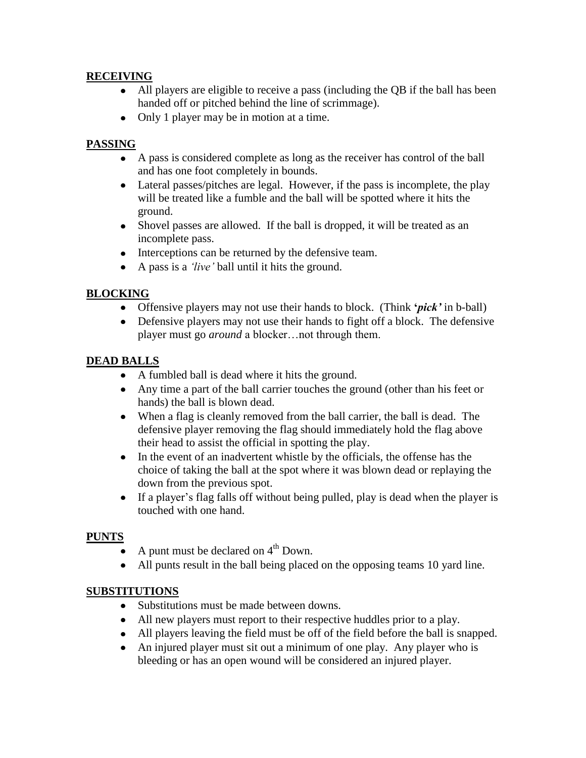#### **RECEIVING**

- All players are eligible to receive a pass (including the QB if the ball has been handed off or pitched behind the line of scrimmage).
- Only 1 player may be in motion at a time.

#### **PASSING**

- A pass is considered complete as long as the receiver has control of the ball and has one foot completely in bounds.
- Lateral passes/pitches are legal. However, if the pass is incomplete, the play will be treated like a fumble and the ball will be spotted where it hits the ground.
- Shovel passes are allowed. If the ball is dropped, it will be treated as an incomplete pass.
- Interceptions can be returned by the defensive team.
- A pass is a *"live"* ball until it hits the ground.

## **BLOCKING**

- Offensive players may not use their hands to block. (Think **'***pick'* in b-ball)
- Defensive players may not use their hands to fight off a block. The defensive  $\bullet$ player must go *around* a blocker…not through them.

#### **DEAD BALLS**

- A fumbled ball is dead where it hits the ground.
- Any time a part of the ball carrier touches the ground (other than his feet or hands) the ball is blown dead.
- When a flag is cleanly removed from the ball carrier, the ball is dead. The defensive player removing the flag should immediately hold the flag above their head to assist the official in spotting the play.
- $\bullet$ In the event of an inadvertent whistle by the officials, the offense has the choice of taking the ball at the spot where it was blown dead or replaying the down from the previous spot.
- If a player's flag falls off without being pulled, play is dead when the player is  $\bullet$ touched with one hand.

## **PUNTS**

- A punt must be declared on  $4<sup>th</sup>$  Down.
- All punts result in the ball being placed on the opposing teams 10 yard line.

#### **SUBSTITUTIONS**

- Substitutions must be made between downs.
- All new players must report to their respective huddles prior to a play.
- All players leaving the field must be off of the field before the ball is snapped.
- $\bullet$ An injured player must sit out a minimum of one play. Any player who is bleeding or has an open wound will be considered an injured player.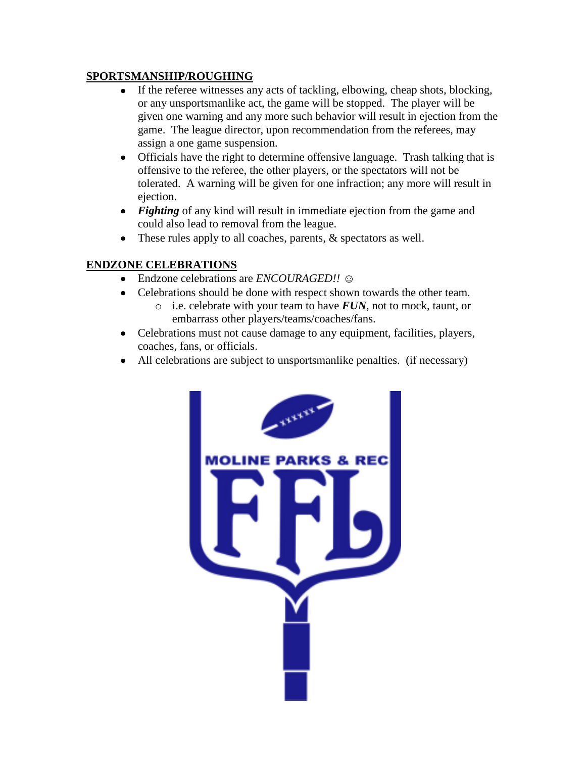#### **SPORTSMANSHIP/ROUGHING**

- If the referee witnesses any acts of tackling, elbowing, cheap shots, blocking, or any unsportsmanlike act, the game will be stopped. The player will be given one warning and any more such behavior will result in ejection from the game. The league director, upon recommendation from the referees, may assign a one game suspension.
- Officials have the right to determine offensive language. Trash talking that is offensive to the referee, the other players, or the spectators will not be tolerated. A warning will be given for one infraction; any more will result in ejection.
- *Fighting* of any kind will result in immediate ejection from the game and could also lead to removal from the league.
- These rules apply to all coaches, parents,  $\&$  spectators as well.

#### **ENDZONE CELEBRATIONS**

- Endzone celebrations are *ENCOURAGED!!* ☺
- Celebrations should be done with respect shown towards the other team.
	- o i.e. celebrate with your team to have *FUN*, not to mock, taunt, or embarrass other players/teams/coaches/fans.
- Celebrations must not cause damage to any equipment, facilities, players, coaches, fans, or officials.
- All celebrations are subject to unsportsmanlike penalties. (if necessary)